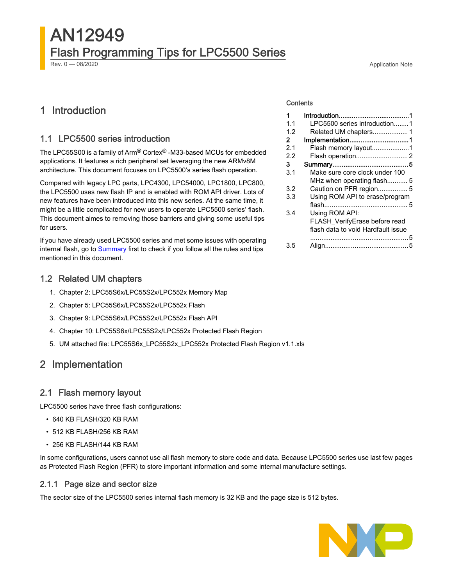# AN12949 Flash Programming Tips for LPC5500 Series

#### Rev. 0 — 08/2020 Application Note

# 1 Introduction

#### 1.1 LPC5500 series introduction

The LPC55S00 is a family of Arm® Cortex® -M33-based MCUs for embedded applications. It features a rich peripheral set leveraging the new ARMv8M architecture. This document focuses on LPC5500's series flash operation.

Compared with legacy LPC parts, LPC4300, LPC54000, LPC1800, LPC800, the LPC5500 uses new flash IP and is enabled with ROM API driver. Lots of new features have been introduced into this new series. At the same time, it might be a little complicated for new users to operate LPC5500 series' flash. This document aimes to removing those barriers and giving some useful tips for users.

If you have already used LPC5500 series and met some issues with operating internal flash, go to [Summary](#page-4-0) first to check if you follow all the rules and tips mentioned in this document.

#### 1.2 Related UM chapters

- 1. Chapter 2: LPC55S6x/LPC55S2x/LPC552x Memory Map
- 2. Chapter 5: LPC55S6x/LPC55S2x/LPC552x Flash
- 3. Chapter 9: LPC55S6x/LPC55S2x/LPC552x Flash API
- 4. Chapter 10: LPC55S6x/LPC55S2x/LPC552x Protected Flash Region
- 5. UM attached file: LPC55S6x\_LPC55S2x\_LPC552x Protected Flash Region v1.1.xls

# 2 Implementation

### 2.1 Flash memory layout

LPC5500 series have three flash configurations:

- 640 KB FLASH/320 KB RAM
- 512 KB FLASH/256 KB RAM
- 256 KB FLASH/144 KB RAM

In some configurations, users cannot use all flash memory to store code and data. Because LPC5500 series use last few pages as Protected Flash Region (PFR) to store important information and some internal manufacture settings.

#### 2.1.1 Page size and sector size

The sector size of the LPC5500 series internal flash memory is 32 KB and the page size is 512 bytes.



#### **Contents**

| 1   |                                    |
|-----|------------------------------------|
| 1.1 | LPC5500 series introduction1       |
| 1.2 |                                    |
| 2   | Implementation1                    |
| 2.1 | Flash memory layout1               |
| 2.2 |                                    |
| з   |                                    |
| 3.1 | Make sure core clock under 100     |
|     | MHz when operating flash5          |
| 3.2 | Caution on PFR region 5            |
| 3.3 | Using ROM API to erase/program     |
|     |                                    |
| 3.4 | Using ROM API:                     |
|     | FLASH_VerifyErase before read      |
|     | flash data to void Hardfault issue |
|     |                                    |
| 3.5 |                                    |
|     |                                    |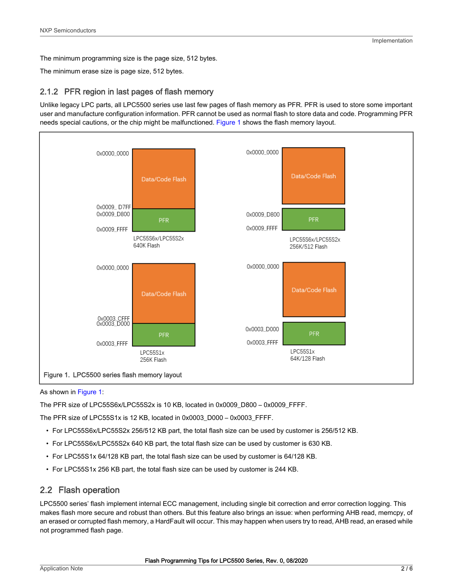<span id="page-1-0"></span>The minimum programming size is the page size, 512 bytes.

The minimum erase size is page size, 512 bytes.

#### 2.1.2 PFR region in last pages of flash memory

Unlike legacy LPC parts, all LPC5500 series use last few pages of flash memory as PFR. PFR is used to store some important user and manufacture configuration information. PFR cannot be used as normal flash to store data and code. Programming PFR needs special cautions, or the chip might be malfunctioned. Figure 1 shows the flash memory layout.



#### As shown in Figure 1:

The PFR size of LPC55S6x/LPC55S2x is 10 KB, located in 0x0009\_D800 – 0x0009\_FFFF.

The PFR size of LPC55S1x is 12 KB, located in 0x0003\_D000 – 0x0003\_FFFF.

- For LPC55S6x/LPC55S2x 256/512 KB part, the total flash size can be used by customer is 256/512 KB.
- For LPC55S6x/LPC55S2x 640 KB part, the total flash size can be used by customer is 630 KB.
- For LPC55S1x 64/128 KB part, the total flash size can be used by customer is 64/128 KB.
- For LPC55S1x 256 KB part, the total flash size can be used by customer is 244 KB.

### 2.2 Flash operation

LPC5500 series' flash implement internal ECC management, including single bit correction and error correction logging. This makes flash more secure and robust than others. But this feature also brings an issue: when performing AHB read, memcpy, of an erased or corrupted flash memory, a HardFault will occur. This may happen when users try to read, AHB read, an erased while not programmed flash page.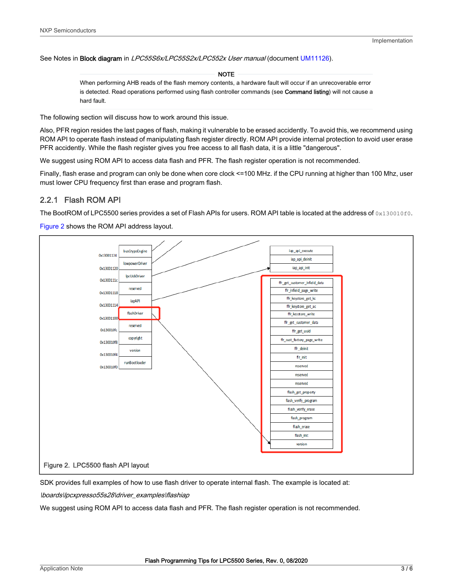See Notes in Block diagram in LPC55S6x/LPC55S2x/LPC552x User manual (document [UM11126](https://www.nxp.com/webapp/Download?colCode=UM11126)).

#### NOTE

When performing AHB reads of the flash memory contents, a hardware fault will occur if an unrecoverable error is detected. Read operations performed using flash controller commands (see Command listing) will not cause a hard fault.

The following section will discuss how to work around this issue.

Also, PFR region resides the last pages of flash, making it vulnerable to be erased accidently. To avoid this, we recommend using ROM API to operate flash instead of manipulating flash register directly. ROM API provide internal protection to avoid user erase PFR accidently. While the flash register gives you free access to all flash data, it is a little "dangerous".

We suggest using ROM API to access data flash and PFR. The flash register operation is not recommended.

Finally, flash erase and program can only be done when core clock <=100 MHz. if the CPU running at higher than 100 Mhz, user must lower CPU frequency first than erase and program flash.

#### 2.2.1 Flash ROM API

The BootROM of LPC5500 series provides a set of Flash APIs for users. ROM API table is located at the address of  $0 \times 130010$  fo.

Figure 2 shows the ROM API address layout.



SDK provides full examples of how to use flash driver to operate internal flash. The example is located at:

\boards\lpcxpresso55s28\driver\_examples\flashiap

We suggest using ROM API to access data flash and PFR. The flash register operation is not recommended.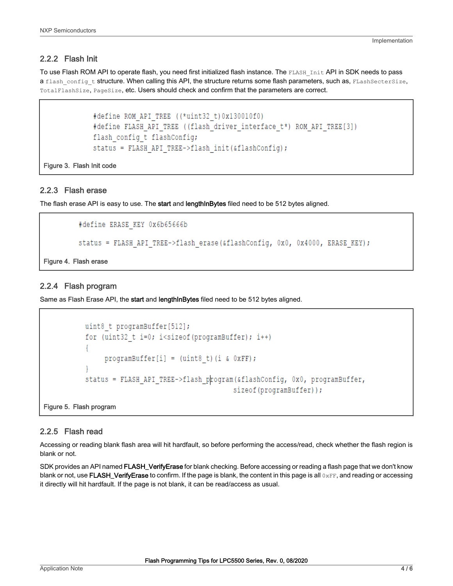#### 2.2.2 Flash Init

To use Flash ROM API to operate flash, you need first initialized flash instance. The FLASH Init API in SDK needs to pass a flash config t structure. When calling this API, the structure returns some flash parameters, such as, FLashSecterSize, TotalFlashSize, PageSize, etc. Users should check and confirm that the parameters are correct.

```
#define ROM API TREE ((*uint32 t) 0x130010f0)
#define FLASH API TREE ((flash driver interface t*) ROM API TREE[3])
flash config t flashConfig;
status = FLASH API TREE->flash init(&flashConfig);
```
Figure 3. Flash Init code

#### 2.2.3 Flash erase

The flash erase API is easy to use. The start and lengthInBytes filed need to be 512 bytes aligned.

```
#define ERASE KEY 0x6b65666b
status = FLASH API TREE->flash erase(&flashConfig, 0x0, 0x4000, ERASE KEY);
```
Figure 4. Flash erase

#### 2.2.4 Flash program

Same as Flash Erase API, the start and lengthinBytes filed need to be 512 bytes aligned.

```
uint8 t programBuffer[512];
for (uint32 t i=0; i<sizeof(programBuffer); i++)
     programBuffer[i] = (uint8 t) (i \& 0xFF);status = FLASH API TREE->flash program(&flashConfig, 0x0, programBuffer,
                                      sizeof(programBuffer));
```
Figure 5. Flash program

#### 2.2.5 Flash read

Accessing or reading blank flash area will hit hardfault, so before performing the access/read, check whether the flash region is blank or not.

SDK provides an API named FLASH\_VerifyErase for blank checking. Before accessing or reading a flash page that we don't know blank or not, use FLASH\_VerifyErase to confirm. If the page is blank, the content in this page is all 0xFF, and reading or accessing it directly will hit hardfault. If the page is not blank, it can be read/access as usual.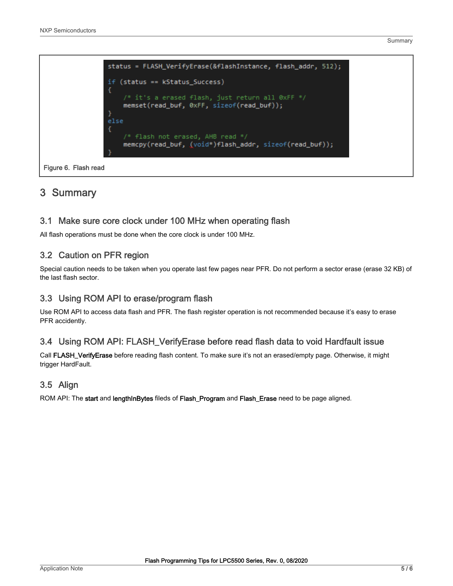Summary

```
status = FLASH_VerifyErase(&flashInstance, flash_addr, 512);
if (status == kStatus_Success)
€
    /* it's a erased flash, just return all 0xFF */
    memset(read_buf, 0xFF, sizeof(read_buf));
else
    /* flash not erased, AHB read */
    memcpy(read_buf, (void*)flash_addr, sizeof(read_buf));
```
Figure 6. Flash read

# 3 Summary

#### 3.1 Make sure core clock under 100 MHz when operating flash

All flash operations must be done when the core clock is under 100 MHz.

### 3.2 Caution on PFR region

Special caution needs to be taken when you operate last few pages near PFR. Do not perform a sector erase (erase 32 KB) of the last flash sector.

### 3.3 Using ROM API to erase/program flash

Use ROM API to access data flash and PFR. The flash register operation is not recommended because it's easy to erase PFR accidently.

### 3.4 Using ROM API: FLASH\_VerifyErase before read flash data to void Hardfault issue

Call FLASH\_VerifyErase before reading flash content. To make sure it's not an erased/empty page. Otherwise, it might trigger HardFault.

### 3.5 Align

ROM API: The start and lengthInBytes fileds of Flash\_Program and Flash\_Erase need to be page aligned.